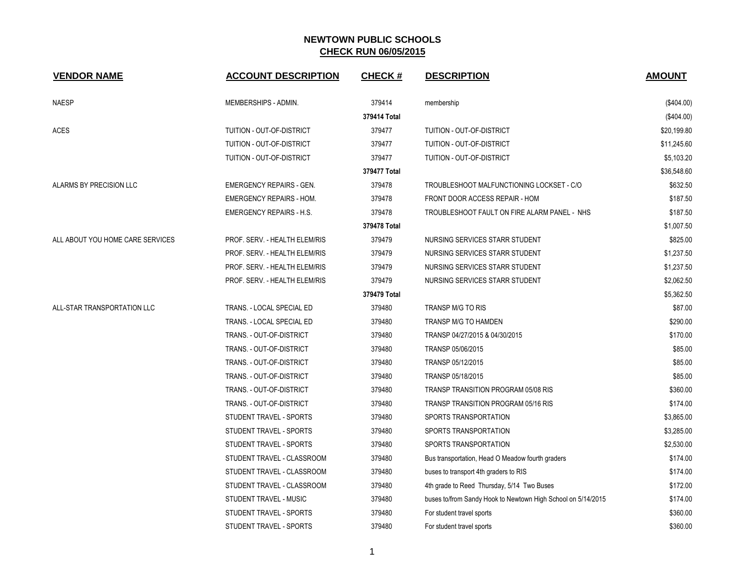| <b>VENDOR NAME</b>               | <b>ACCOUNT DESCRIPTION</b>      | <b>CHECK#</b> | <b>DESCRIPTION</b>                                           | <b>AMOUNT</b> |
|----------------------------------|---------------------------------|---------------|--------------------------------------------------------------|---------------|
| <b>NAESP</b>                     | MEMBERSHIPS - ADMIN.            | 379414        | membership                                                   | $(\$404.00)$  |
|                                  |                                 | 379414 Total  |                                                              | (\$404.00)    |
| <b>ACES</b>                      | TUITION - OUT-OF-DISTRICT       | 379477        | TUITION - OUT-OF-DISTRICT                                    | \$20,199.80   |
|                                  | TUITION - OUT-OF-DISTRICT       | 379477        | TUITION - OUT-OF-DISTRICT                                    | \$11,245.60   |
|                                  | TUITION - OUT-OF-DISTRICT       | 379477        | TUITION - OUT-OF-DISTRICT                                    | \$5,103.20    |
|                                  |                                 | 379477 Total  |                                                              | \$36,548.60   |
| ALARMS BY PRECISION LLC          | <b>EMERGENCY REPAIRS - GEN.</b> | 379478        | TROUBLESHOOT MALFUNCTIONING LOCKSET - C/O                    | \$632.50      |
|                                  | <b>EMERGENCY REPAIRS - HOM.</b> | 379478        | FRONT DOOR ACCESS REPAIR - HOM                               | \$187.50      |
|                                  | <b>EMERGENCY REPAIRS - H.S.</b> | 379478        | TROUBLESHOOT FAULT ON FIRE ALARM PANEL - NHS                 | \$187.50      |
|                                  |                                 | 379478 Total  |                                                              | \$1,007.50    |
| ALL ABOUT YOU HOME CARE SERVICES | PROF. SERV. - HEALTH ELEM/RIS   | 379479        | NURSING SERVICES STARR STUDENT                               | \$825.00      |
|                                  | PROF. SERV. - HEALTH ELEM/RIS   | 379479        | NURSING SERVICES STARR STUDENT                               | \$1,237.50    |
|                                  | PROF. SERV. - HEALTH ELEM/RIS   | 379479        | NURSING SERVICES STARR STUDENT                               | \$1,237.50    |
|                                  | PROF. SERV. - HEALTH ELEM/RIS   | 379479        | NURSING SERVICES STARR STUDENT                               | \$2,062.50    |
|                                  |                                 | 379479 Total  |                                                              | \$5,362.50    |
| ALL-STAR TRANSPORTATION LLC      | TRANS. - LOCAL SPECIAL ED       | 379480        | TRANSP M/G TO RIS                                            | \$87.00       |
|                                  | TRANS. - LOCAL SPECIAL ED       | 379480        | TRANSP M/G TO HAMDEN                                         | \$290.00      |
|                                  | TRANS. - OUT-OF-DISTRICT        | 379480        | TRANSP 04/27/2015 & 04/30/2015                               | \$170.00      |
|                                  | TRANS. - OUT-OF-DISTRICT        | 379480        | TRANSP 05/06/2015                                            | \$85.00       |
|                                  | TRANS. - OUT-OF-DISTRICT        | 379480        | TRANSP 05/12/2015                                            | \$85.00       |
|                                  | TRANS. - OUT-OF-DISTRICT        | 379480        | TRANSP 05/18/2015                                            | \$85.00       |
|                                  | TRANS. - OUT-OF-DISTRICT        | 379480        | TRANSP TRANSITION PROGRAM 05/08 RIS                          | \$360.00      |
|                                  | TRANS. - OUT-OF-DISTRICT        | 379480        | TRANSP TRANSITION PROGRAM 05/16 RIS                          | \$174.00      |
|                                  | STUDENT TRAVEL - SPORTS         | 379480        | SPORTS TRANSPORTATION                                        | \$3,865.00    |
|                                  | STUDENT TRAVEL - SPORTS         | 379480        | SPORTS TRANSPORTATION                                        | \$3,285.00    |
|                                  | STUDENT TRAVEL - SPORTS         | 379480        | SPORTS TRANSPORTATION                                        | \$2,530.00    |
|                                  | STUDENT TRAVEL - CLASSROOM      | 379480        | Bus transportation, Head O Meadow fourth graders             | \$174.00      |
|                                  | STUDENT TRAVEL - CLASSROOM      | 379480        | buses to transport 4th graders to RIS                        | \$174.00      |
|                                  | STUDENT TRAVEL - CLASSROOM      | 379480        | 4th grade to Reed Thursday, 5/14 Two Buses                   | \$172.00      |
|                                  | STUDENT TRAVEL - MUSIC          | 379480        | buses to/from Sandy Hook to Newtown High School on 5/14/2015 | \$174.00      |
|                                  | STUDENT TRAVEL - SPORTS         | 379480        | For student travel sports                                    | \$360.00      |
|                                  | STUDENT TRAVEL - SPORTS         | 379480        | For student travel sports                                    | \$360.00      |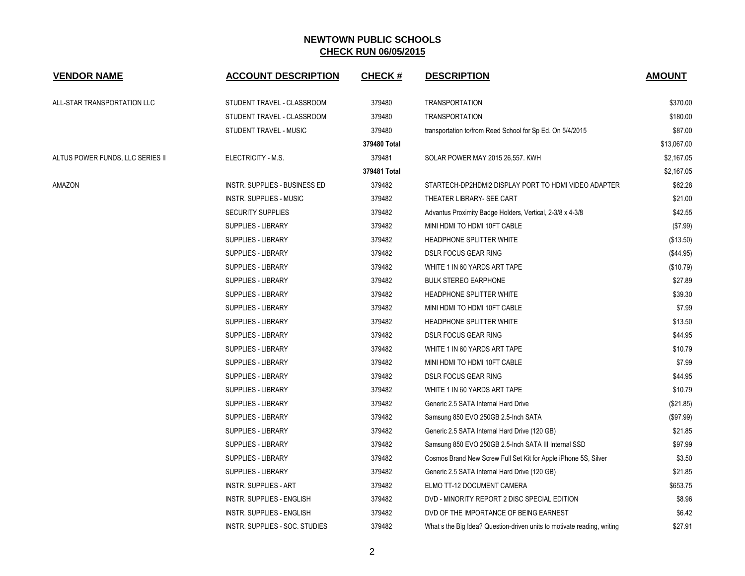| <b>VENDOR NAME</b>               | <b>ACCOUNT DESCRIPTION</b>           | <b>CHECK#</b> | <b>DESCRIPTION</b>                                                      | <b>AMOUNT</b> |
|----------------------------------|--------------------------------------|---------------|-------------------------------------------------------------------------|---------------|
| ALL-STAR TRANSPORTATION LLC      | STUDENT TRAVEL - CLASSROOM           | 379480        | <b>TRANSPORTATION</b>                                                   | \$370.00      |
|                                  | STUDENT TRAVEL - CLASSROOM           | 379480        | <b>TRANSPORTATION</b>                                                   | \$180.00      |
|                                  | STUDENT TRAVEL - MUSIC               | 379480        | transportation to/from Reed School for Sp Ed. On 5/4/2015               | \$87.00       |
|                                  |                                      | 379480 Total  |                                                                         | \$13,067.00   |
| ALTUS POWER FUNDS, LLC SERIES II | ELECTRICITY - M.S.                   | 379481        | SOLAR POWER MAY 2015 26,557. KWH                                        | \$2,167.05    |
|                                  |                                      | 379481 Total  |                                                                         | \$2,167.05    |
| AMAZON                           | <b>INSTR. SUPPLIES - BUSINESS ED</b> | 379482        | STARTECH-DP2HDMI2 DISPLAY PORT TO HDMI VIDEO ADAPTER                    | \$62.28       |
|                                  | <b>INSTR. SUPPLIES - MUSIC</b>       | 379482        | THEATER LIBRARY- SEE CART                                               | \$21.00       |
|                                  | <b>SECURITY SUPPLIES</b>             | 379482        | Advantus Proximity Badge Holders, Vertical, 2-3/8 x 4-3/8               | \$42.55       |
|                                  | <b>SUPPLIES - LIBRARY</b>            | 379482        | MINI HDMI TO HDMI 10FT CABLE                                            | (\$7.99)      |
|                                  | <b>SUPPLIES - LIBRARY</b>            | 379482        | HEADPHONE SPLITTER WHITE                                                | (\$13.50)     |
|                                  | <b>SUPPLIES - LIBRARY</b>            | 379482        | <b>DSLR FOCUS GEAR RING</b>                                             | (\$44.95)     |
|                                  | SUPPLIES - LIBRARY                   | 379482        | WHITE 1 IN 60 YARDS ART TAPE                                            | (\$10.79)     |
|                                  | SUPPLIES - LIBRARY                   | 379482        | <b>BULK STEREO EARPHONE</b>                                             | \$27.89       |
|                                  | SUPPLIES - LIBRARY                   | 379482        | HEADPHONE SPLITTER WHITE                                                | \$39.30       |
|                                  | <b>SUPPLIES - LIBRARY</b>            | 379482        | MINI HDMI TO HDMI 10FT CABLE                                            | \$7.99        |
|                                  | SUPPLIES - LIBRARY                   | 379482        | HEADPHONE SPLITTER WHITE                                                | \$13.50       |
|                                  | SUPPLIES - LIBRARY                   | 379482        | <b>DSLR FOCUS GEAR RING</b>                                             | \$44.95       |
|                                  | <b>SUPPLIES - LIBRARY</b>            | 379482        | WHITE 1 IN 60 YARDS ART TAPE                                            | \$10.79       |
|                                  | <b>SUPPLIES - LIBRARY</b>            | 379482        | MINI HDMI TO HDMI 10FT CABLE                                            | \$7.99        |
|                                  | SUPPLIES - LIBRARY                   | 379482        | <b>DSLR FOCUS GEAR RING</b>                                             | \$44.95       |
|                                  | SUPPLIES - LIBRARY                   | 379482        | WHITE 1 IN 60 YARDS ART TAPE                                            | \$10.79       |
|                                  | <b>SUPPLIES - LIBRARY</b>            | 379482        | Generic 2.5 SATA Internal Hard Drive                                    | (\$21.85)     |
|                                  | <b>SUPPLIES - LIBRARY</b>            | 379482        | Samsung 850 EVO 250GB 2.5-Inch SATA                                     | (\$97.99)     |
|                                  | <b>SUPPLIES - LIBRARY</b>            | 379482        | Generic 2.5 SATA Internal Hard Drive (120 GB)                           | \$21.85       |
|                                  | <b>SUPPLIES - LIBRARY</b>            | 379482        | Samsung 850 EVO 250GB 2.5-Inch SATA III Internal SSD                    | \$97.99       |
|                                  | <b>SUPPLIES - LIBRARY</b>            | 379482        | Cosmos Brand New Screw Full Set Kit for Apple iPhone 5S, Silver         | \$3.50        |
|                                  | SUPPLIES - LIBRARY                   | 379482        | Generic 2.5 SATA Internal Hard Drive (120 GB)                           | \$21.85       |
|                                  | <b>INSTR. SUPPLIES - ART</b>         | 379482        | ELMO TT-12 DOCUMENT CAMERA                                              | \$653.75      |
|                                  | INSTR. SUPPLIES - ENGLISH            | 379482        | DVD - MINORITY REPORT 2 DISC SPECIAL EDITION                            | \$8.96        |
|                                  | INSTR. SUPPLIES - ENGLISH            | 379482        | DVD OF THE IMPORTANCE OF BEING EARNEST                                  | \$6.42        |
|                                  | INSTR. SUPPLIES - SOC. STUDIES       | 379482        | What s the Big Idea? Question-driven units to motivate reading, writing | \$27.91       |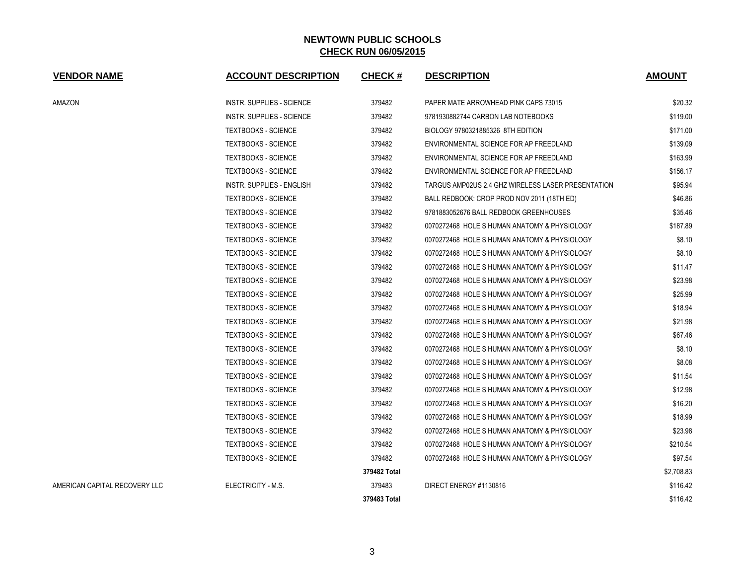| <b>VENDOR NAME</b>            | <b>ACCOUNT DESCRIPTION</b>       | <b>CHECK#</b> | <b>DESCRIPTION</b>                                 | <b>AMOUNT</b> |
|-------------------------------|----------------------------------|---------------|----------------------------------------------------|---------------|
| AMAZON                        | <b>INSTR. SUPPLIES - SCIENCE</b> | 379482        | PAPER MATE ARROWHEAD PINK CAPS 73015               | \$20.32       |
|                               | <b>INSTR. SUPPLIES - SCIENCE</b> | 379482        | 9781930882744 CARBON LAB NOTEBOOKS                 | \$119.00      |
|                               | <b>TEXTBOOKS - SCIENCE</b>       | 379482        | BIOLOGY 9780321885326 8TH EDITION                  | \$171.00      |
|                               | <b>TEXTBOOKS - SCIENCE</b>       | 379482        | ENVIRONMENTAL SCIENCE FOR AP FREEDLAND             | \$139.09      |
|                               | <b>TEXTBOOKS - SCIENCE</b>       | 379482        | ENVIRONMENTAL SCIENCE FOR AP FREEDLAND             | \$163.99      |
|                               | <b>TEXTBOOKS - SCIENCE</b>       | 379482        | ENVIRONMENTAL SCIENCE FOR AP FREEDLAND             | \$156.17      |
|                               | <b>INSTR. SUPPLIES - ENGLISH</b> | 379482        | TARGUS AMP02US 2.4 GHZ WIRELESS LASER PRESENTATION | \$95.94       |
|                               | <b>TEXTBOOKS - SCIENCE</b>       | 379482        | BALL REDBOOK: CROP PROD NOV 2011 (18TH ED)         | \$46.86       |
|                               | <b>TEXTBOOKS - SCIENCE</b>       | 379482        | 9781883052676 BALL REDBOOK GREENHOUSES             | \$35.46       |
|                               | <b>TEXTBOOKS - SCIENCE</b>       | 379482        | 0070272468 HOLE S HUMAN ANATOMY & PHYSIOLOGY       | \$187.89      |
|                               | <b>TEXTBOOKS - SCIENCE</b>       | 379482        | 0070272468 HOLE S HUMAN ANATOMY & PHYSIOLOGY       | \$8.10        |
|                               | <b>TEXTBOOKS - SCIENCE</b>       | 379482        | 0070272468 HOLE S HUMAN ANATOMY & PHYSIOLOGY       | \$8.10        |
|                               | <b>TEXTBOOKS - SCIENCE</b>       | 379482        | 0070272468 HOLE S HUMAN ANATOMY & PHYSIOLOGY       | \$11.47       |
|                               | <b>TEXTBOOKS - SCIENCE</b>       | 379482        | 0070272468 HOLE S HUMAN ANATOMY & PHYSIOLOGY       | \$23.98       |
|                               | <b>TEXTBOOKS - SCIENCE</b>       | 379482        | 0070272468 HOLE S HUMAN ANATOMY & PHYSIOLOGY       | \$25.99       |
|                               | <b>TEXTBOOKS - SCIENCE</b>       | 379482        | 0070272468 HOLE S HUMAN ANATOMY & PHYSIOLOGY       | \$18.94       |
|                               | <b>TEXTBOOKS - SCIENCE</b>       | 379482        | 0070272468 HOLE S HUMAN ANATOMY & PHYSIOLOGY       | \$21.98       |
|                               | <b>TEXTBOOKS - SCIENCE</b>       | 379482        | 0070272468 HOLE S HUMAN ANATOMY & PHYSIOLOGY       | \$67.46       |
|                               | <b>TEXTBOOKS - SCIENCE</b>       | 379482        | 0070272468 HOLE S HUMAN ANATOMY & PHYSIOLOGY       | \$8.10        |
|                               | <b>TEXTBOOKS - SCIENCE</b>       | 379482        | 0070272468 HOLE S HUMAN ANATOMY & PHYSIOLOGY       | \$8.08        |
|                               | <b>TEXTBOOKS - SCIENCE</b>       | 379482        | 0070272468 HOLE S HUMAN ANATOMY & PHYSIOLOGY       | \$11.54       |
|                               | <b>TEXTBOOKS - SCIENCE</b>       | 379482        | 0070272468 HOLE S HUMAN ANATOMY & PHYSIOLOGY       | \$12.98       |
|                               | <b>TEXTBOOKS - SCIENCE</b>       | 379482        | 0070272468 HOLE S HUMAN ANATOMY & PHYSIOLOGY       | \$16.20       |
|                               | <b>TEXTBOOKS - SCIENCE</b>       | 379482        | 0070272468 HOLE S HUMAN ANATOMY & PHYSIOLOGY       | \$18.99       |
|                               | <b>TEXTBOOKS - SCIENCE</b>       | 379482        | 0070272468 HOLE S HUMAN ANATOMY & PHYSIOLOGY       | \$23.98       |
|                               | <b>TEXTBOOKS - SCIENCE</b>       | 379482        | 0070272468 HOLE S HUMAN ANATOMY & PHYSIOLOGY       | \$210.54      |
|                               | <b>TEXTBOOKS - SCIENCE</b>       | 379482        | 0070272468 HOLE S HUMAN ANATOMY & PHYSIOLOGY       | \$97.54       |
|                               |                                  | 379482 Total  |                                                    | \$2,708.83    |
| AMERICAN CAPITAL RECOVERY LLC | ELECTRICITY - M.S.               | 379483        | DIRECT ENERGY #1130816                             | \$116.42      |
|                               |                                  | 379483 Total  |                                                    | \$116.42      |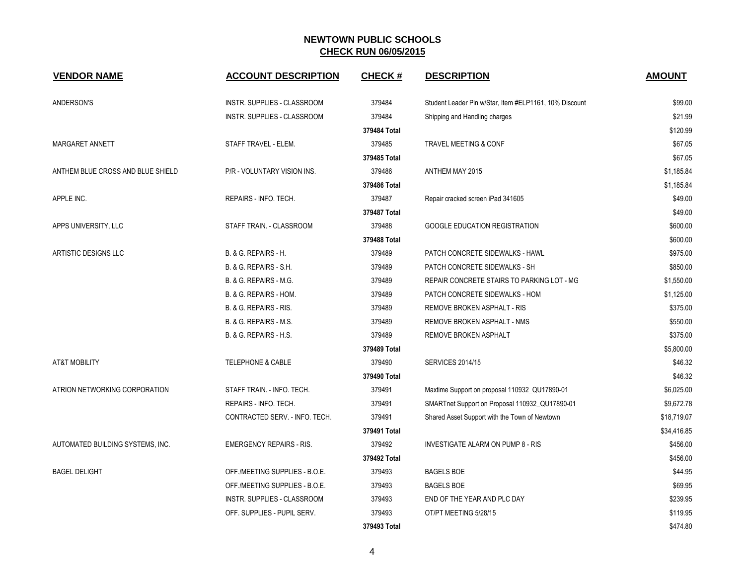| <b>VENDOR NAME</b>                | <b>ACCOUNT DESCRIPTION</b>         | <b>CHECK#</b> | <b>DESCRIPTION</b>                                     | <b>AMOUNT</b> |
|-----------------------------------|------------------------------------|---------------|--------------------------------------------------------|---------------|
| ANDERSON'S                        | INSTR. SUPPLIES - CLASSROOM        | 379484        | Student Leader Pin w/Star, Item #ELP1161, 10% Discount | \$99.00       |
|                                   | INSTR. SUPPLIES - CLASSROOM        | 379484        | Shipping and Handling charges                          | \$21.99       |
|                                   |                                    | 379484 Total  |                                                        | \$120.99      |
| MARGARET ANNETT                   | STAFF TRAVEL - ELEM.               | 379485        | TRAVEL MEETING & CONF                                  | \$67.05       |
|                                   |                                    | 379485 Total  |                                                        | \$67.05       |
| ANTHEM BLUE CROSS AND BLUE SHIELD | P/R - VOLUNTARY VISION INS.        | 379486        | ANTHEM MAY 2015                                        | \$1,185.84    |
|                                   |                                    | 379486 Total  |                                                        | \$1,185.84    |
| APPLE INC.                        | REPAIRS - INFO. TECH.              | 379487        | Repair cracked screen iPad 341605                      | \$49.00       |
|                                   |                                    | 379487 Total  |                                                        | \$49.00       |
| APPS UNIVERSITY, LLC              | STAFF TRAIN. - CLASSROOM           | 379488        | <b>GOOGLE EDUCATION REGISTRATION</b>                   | \$600.00      |
|                                   |                                    | 379488 Total  |                                                        | \$600.00      |
| ARTISTIC DESIGNS LLC              | B. & G. REPAIRS - H.               | 379489        | PATCH CONCRETE SIDEWALKS - HAWL                        | \$975.00      |
|                                   | B. & G. REPAIRS - S.H.             | 379489        | PATCH CONCRETE SIDEWALKS - SH                          | \$850.00      |
|                                   | B. & G. REPAIRS - M.G.             | 379489        | REPAIR CONCRETE STAIRS TO PARKING LOT - MG             | \$1,550.00    |
|                                   | B. & G. REPAIRS - HOM.             | 379489        | PATCH CONCRETE SIDEWALKS - HOM                         | \$1,125.00    |
|                                   | B. & G. REPAIRS - RIS.             | 379489        | REMOVE BROKEN ASPHALT - RIS                            | \$375.00      |
|                                   | B. & G. REPAIRS - M.S.             | 379489        | REMOVE BROKEN ASPHALT - NMS                            | \$550.00      |
|                                   | B. & G. REPAIRS - H.S.             | 379489        | REMOVE BROKEN ASPHALT                                  | \$375.00      |
|                                   |                                    | 379489 Total  |                                                        | \$5,800.00    |
| AT&T MOBILITY                     | <b>TELEPHONE &amp; CABLE</b>       | 379490        | <b>SERVICES 2014/15</b>                                | \$46.32       |
|                                   |                                    | 379490 Total  |                                                        | \$46.32       |
| ATRION NETWORKING CORPORATION     | STAFF TRAIN. - INFO. TECH.         | 379491        | Maxtime Support on proposal 110932_QU17890-01          | \$6,025.00    |
|                                   | REPAIRS - INFO. TECH.              | 379491        | SMARTnet Support on Proposal 110932_QU17890-01         | \$9,672.78    |
|                                   | CONTRACTED SERV. - INFO. TECH.     | 379491        | Shared Asset Support with the Town of Newtown          | \$18,719.07   |
|                                   |                                    | 379491 Total  |                                                        | \$34,416.85   |
| AUTOMATED BUILDING SYSTEMS, INC.  | <b>EMERGENCY REPAIRS - RIS.</b>    | 379492        | INVESTIGATE ALARM ON PUMP 8 - RIS                      | \$456.00      |
|                                   |                                    | 379492 Total  |                                                        | \$456.00      |
| <b>BAGEL DELIGHT</b>              | OFF./MEETING SUPPLIES - B.O.E.     | 379493        | <b>BAGELS BOE</b>                                      | \$44.95       |
|                                   | OFF./MEETING SUPPLIES - B.O.E.     | 379493        | <b>BAGELS BOE</b>                                      | \$69.95       |
|                                   | <b>INSTR. SUPPLIES - CLASSROOM</b> | 379493        | END OF THE YEAR AND PLC DAY                            | \$239.95      |
|                                   | OFF. SUPPLIES - PUPIL SERV.        | 379493        | OT/PT MEETING 5/28/15                                  | \$119.95      |
|                                   |                                    | 379493 Total  |                                                        | \$474.80      |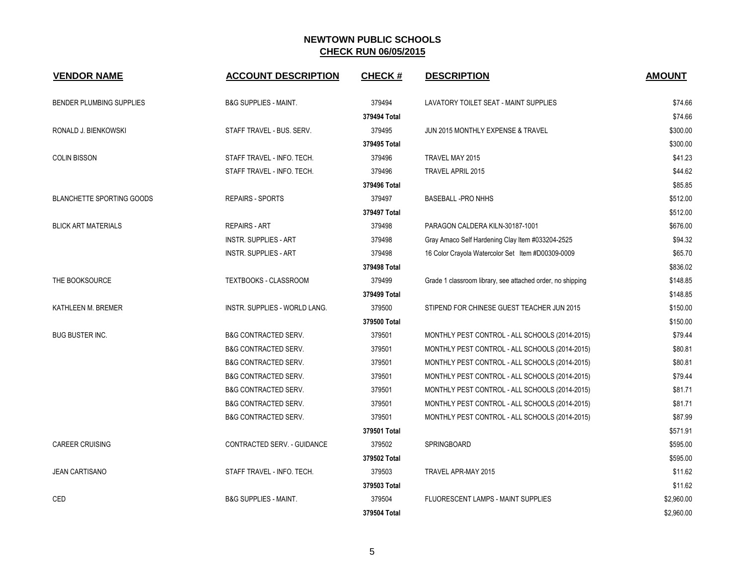| <b>VENDOR NAME</b>               | <b>ACCOUNT DESCRIPTION</b>           | <b>CHECK#</b> | <b>DESCRIPTION</b>                                         | <b>AMOUNT</b> |
|----------------------------------|--------------------------------------|---------------|------------------------------------------------------------|---------------|
| <b>BENDER PLUMBING SUPPLIES</b>  | <b>B&amp;G SUPPLIES - MAINT.</b>     | 379494        | LAVATORY TOILET SEAT - MAINT SUPPLIES                      | \$74.66       |
|                                  |                                      | 379494 Total  |                                                            | \$74.66       |
| RONALD J. BIENKOWSKI             | STAFF TRAVEL - BUS. SERV.            | 379495        | JUN 2015 MONTHLY EXPENSE & TRAVEL                          | \$300.00      |
|                                  |                                      | 379495 Total  |                                                            | \$300.00      |
| <b>COLIN BISSON</b>              | STAFF TRAVEL - INFO. TECH.           | 379496        | TRAVEL MAY 2015                                            | \$41.23       |
|                                  | STAFF TRAVEL - INFO. TECH.           | 379496        | <b>TRAVEL APRIL 2015</b>                                   | \$44.62       |
|                                  |                                      | 379496 Total  |                                                            | \$85.85       |
| <b>BLANCHETTE SPORTING GOODS</b> | <b>REPAIRS - SPORTS</b>              | 379497        | <b>BASEBALL -PRO NHHS</b>                                  | \$512.00      |
|                                  |                                      | 379497 Total  |                                                            | \$512.00      |
| <b>BLICK ART MATERIALS</b>       | <b>REPAIRS - ART</b>                 | 379498        | PARAGON CALDERA KILN-30187-1001                            | \$676.00      |
|                                  | <b>INSTR. SUPPLIES - ART</b>         | 379498        | Gray Amaco Self Hardening Clay Item #033204-2525           | \$94.32       |
|                                  | <b>INSTR. SUPPLIES - ART</b>         | 379498        | 16 Color Crayola Watercolor Set Item #D00309-0009          | \$65.70       |
|                                  |                                      | 379498 Total  |                                                            | \$836.02      |
| THE BOOKSOURCE                   | TEXTBOOKS - CLASSROOM                | 379499        | Grade 1 classroom library, see attached order, no shipping | \$148.85      |
|                                  |                                      | 379499 Total  |                                                            | \$148.85      |
| KATHLEEN M. BREMER               | <b>INSTR. SUPPLIES - WORLD LANG.</b> | 379500        | STIPEND FOR CHINESE GUEST TEACHER JUN 2015                 | \$150.00      |
|                                  |                                      | 379500 Total  |                                                            | \$150.00      |
| <b>BUG BUSTER INC.</b>           | <b>B&amp;G CONTRACTED SERV.</b>      | 379501        | MONTHLY PEST CONTROL - ALL SCHOOLS (2014-2015)             | \$79.44       |
|                                  | <b>B&amp;G CONTRACTED SERV.</b>      | 379501        | MONTHLY PEST CONTROL - ALL SCHOOLS (2014-2015)             | \$80.81       |
|                                  | <b>B&amp;G CONTRACTED SERV.</b>      | 379501        | MONTHLY PEST CONTROL - ALL SCHOOLS (2014-2015)             | \$80.81       |
|                                  | <b>B&amp;G CONTRACTED SERV.</b>      | 379501        | MONTHLY PEST CONTROL - ALL SCHOOLS (2014-2015)             | \$79.44       |
|                                  | <b>B&amp;G CONTRACTED SERV.</b>      | 379501        | MONTHLY PEST CONTROL - ALL SCHOOLS (2014-2015)             | \$81.71       |
|                                  | <b>B&amp;G CONTRACTED SERV.</b>      | 379501        | MONTHLY PEST CONTROL - ALL SCHOOLS (2014-2015)             | \$81.71       |
|                                  | <b>B&amp;G CONTRACTED SERV.</b>      | 379501        | MONTHLY PEST CONTROL - ALL SCHOOLS (2014-2015)             | \$87.99       |
|                                  |                                      | 379501 Total  |                                                            | \$571.91      |
| <b>CAREER CRUISING</b>           | CONTRACTED SERV. - GUIDANCE          | 379502        | SPRINGBOARD                                                | \$595.00      |
|                                  |                                      | 379502 Total  |                                                            | \$595.00      |
| <b>JEAN CARTISANO</b>            | STAFF TRAVEL - INFO. TECH.           | 379503        | TRAVEL APR-MAY 2015                                        | \$11.62       |
|                                  |                                      | 379503 Total  |                                                            | \$11.62       |
| CED                              | <b>B&amp;G SUPPLIES - MAINT.</b>     | 379504        | FLUORESCENT LAMPS - MAINT SUPPLIES                         | \$2,960.00    |
|                                  |                                      | 379504 Total  |                                                            | \$2,960.00    |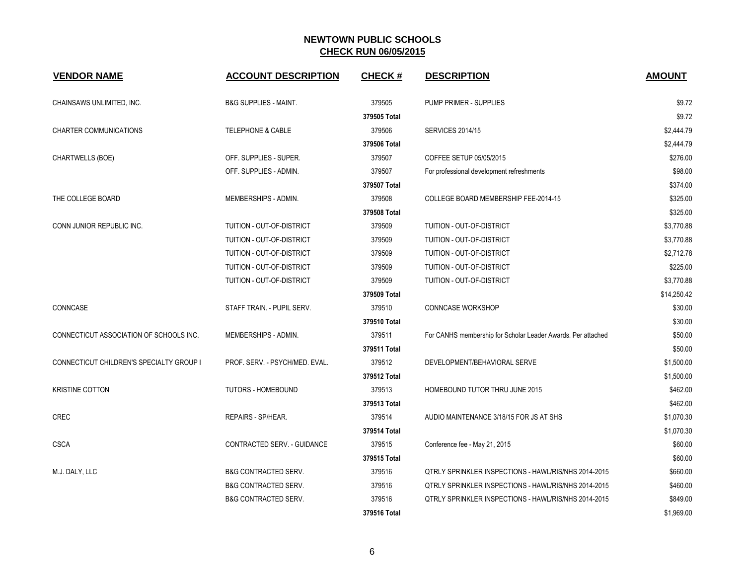| <b>VENDOR NAME</b>                       | <b>ACCOUNT DESCRIPTION</b>       | <b>CHECK#</b> | <b>DESCRIPTION</b>                                           | <b>AMOUNT</b> |
|------------------------------------------|----------------------------------|---------------|--------------------------------------------------------------|---------------|
| CHAINSAWS UNLIMITED, INC.                | <b>B&amp;G SUPPLIES - MAINT.</b> | 379505        | PUMP PRIMER - SUPPLIES                                       | \$9.72        |
|                                          |                                  | 379505 Total  |                                                              | \$9.72        |
| <b>CHARTER COMMUNICATIONS</b>            | <b>TELEPHONE &amp; CABLE</b>     | 379506        | <b>SERVICES 2014/15</b>                                      | \$2,444.79    |
|                                          |                                  | 379506 Total  |                                                              | \$2,444.79    |
| CHARTWELLS (BOE)                         | OFF. SUPPLIES - SUPER.           | 379507        | COFFEE SETUP 05/05/2015                                      | \$276.00      |
|                                          | OFF. SUPPLIES - ADMIN.           | 379507        | For professional development refreshments                    | \$98.00       |
|                                          |                                  | 379507 Total  |                                                              | \$374.00      |
| THE COLLEGE BOARD                        | MEMBERSHIPS - ADMIN.             | 379508        | COLLEGE BOARD MEMBERSHIP FEE-2014-15                         | \$325.00      |
|                                          |                                  | 379508 Total  |                                                              | \$325.00      |
| CONN JUNIOR REPUBLIC INC.                | TUITION - OUT-OF-DISTRICT        | 379509        | TUITION - OUT-OF-DISTRICT                                    | \$3,770.88    |
|                                          | TUITION - OUT-OF-DISTRICT        | 379509        | TUITION - OUT-OF-DISTRICT                                    | \$3,770.88    |
|                                          | TUITION - OUT-OF-DISTRICT        | 379509        | TUITION - OUT-OF-DISTRICT                                    | \$2,712.78    |
|                                          | TUITION - OUT-OF-DISTRICT        | 379509        | TUITION - OUT-OF-DISTRICT                                    | \$225.00      |
|                                          | TUITION - OUT-OF-DISTRICT        | 379509        | TUITION - OUT-OF-DISTRICT                                    | \$3,770.88    |
|                                          |                                  | 379509 Total  |                                                              | \$14,250.42   |
| CONNCASE                                 | STAFF TRAIN. - PUPIL SERV.       | 379510        | <b>CONNCASE WORKSHOP</b>                                     | \$30.00       |
|                                          |                                  | 379510 Total  |                                                              | \$30.00       |
| CONNECTICUT ASSOCIATION OF SCHOOLS INC.  | MEMBERSHIPS - ADMIN.             | 379511        | For CANHS membership for Scholar Leader Awards. Per attached | \$50.00       |
|                                          |                                  | 379511 Total  |                                                              | \$50.00       |
| CONNECTICUT CHILDREN'S SPECIALTY GROUP I | PROF. SERV. - PSYCH/MED. EVAL.   | 379512        | DEVELOPMENT/BEHAVIORAL SERVE                                 | \$1,500.00    |
|                                          |                                  | 379512 Total  |                                                              | \$1,500.00    |
| <b>KRISTINE COTTON</b>                   | <b>TUTORS - HOMEBOUND</b>        | 379513        | <b>HOMEBOUND TUTOR THRU JUNE 2015</b>                        | \$462.00      |
|                                          |                                  | 379513 Total  |                                                              | \$462.00      |
| <b>CREC</b>                              | REPAIRS - SP/HEAR.               | 379514        | AUDIO MAINTENANCE 3/18/15 FOR JS AT SHS                      | \$1,070.30    |
|                                          |                                  | 379514 Total  |                                                              | \$1,070.30    |
| <b>CSCA</b>                              | CONTRACTED SERV. - GUIDANCE      | 379515        | Conference fee - May 21, 2015                                | \$60.00       |
|                                          |                                  | 379515 Total  |                                                              | \$60.00       |
| M.J. DALY, LLC                           | <b>B&amp;G CONTRACTED SERV.</b>  | 379516        | QTRLY SPRINKLER INSPECTIONS - HAWL/RIS/NHS 2014-2015         | \$660.00      |
|                                          | <b>B&amp;G CONTRACTED SERV.</b>  | 379516        | QTRLY SPRINKLER INSPECTIONS - HAWL/RIS/NHS 2014-2015         | \$460.00      |
|                                          | <b>B&amp;G CONTRACTED SERV.</b>  | 379516        | QTRLY SPRINKLER INSPECTIONS - HAWL/RIS/NHS 2014-2015         | \$849.00      |
|                                          |                                  | 379516 Total  |                                                              | \$1,969.00    |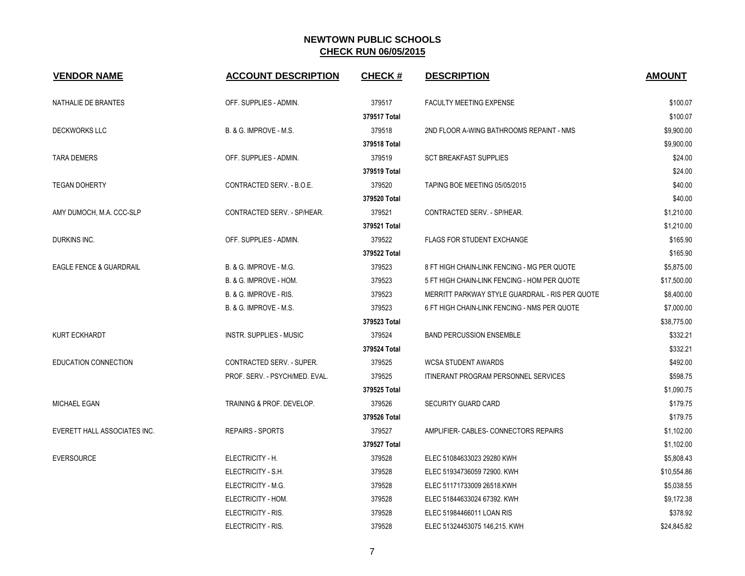| <b>VENDOR NAME</b>                 | <b>ACCOUNT DESCRIPTION</b>       | <b>CHECK#</b> | <b>DESCRIPTION</b>                              | <b>AMOUNT</b> |
|------------------------------------|----------------------------------|---------------|-------------------------------------------------|---------------|
| NATHALIE DE BRANTES                | OFF. SUPPLIES - ADMIN.           | 379517        | FACULTY MEETING EXPENSE                         | \$100.07      |
|                                    |                                  | 379517 Total  |                                                 | \$100.07      |
| <b>DECKWORKS LLC</b>               | B. & G. IMPROVE - M.S.           | 379518        | 2ND FLOOR A-WING BATHROOMS REPAINT - NMS        | \$9,900.00    |
|                                    |                                  | 379518 Total  |                                                 | \$9,900.00    |
| <b>TARA DEMERS</b>                 | OFF. SUPPLIES - ADMIN.           | 379519        | <b>SCT BREAKFAST SUPPLIES</b>                   | \$24.00       |
|                                    |                                  | 379519 Total  |                                                 | \$24.00       |
| <b>TEGAN DOHERTY</b>               | CONTRACTED SERV. - B.O.E.        | 379520        | TAPING BOE MEETING 05/05/2015                   | \$40.00       |
|                                    |                                  | 379520 Total  |                                                 | \$40.00       |
| AMY DUMOCH, M.A. CCC-SLP           | CONTRACTED SERV. - SP/HEAR.      | 379521        | CONTRACTED SERV. - SP/HEAR.                     | \$1,210.00    |
|                                    |                                  | 379521 Total  |                                                 | \$1,210.00    |
| DURKINS INC.                       | OFF. SUPPLIES - ADMIN.           | 379522        | <b>FLAGS FOR STUDENT EXCHANGE</b>               | \$165.90      |
|                                    |                                  | 379522 Total  |                                                 | \$165.90      |
| <b>EAGLE FENCE &amp; GUARDRAIL</b> | B. & G. IMPROVE - M.G.           | 379523        | 8 FT HIGH CHAIN-LINK FENCING - MG PER QUOTE     | \$5,875.00    |
|                                    | B. & G. IMPROVE - HOM.           | 379523        | 5 FT HIGH CHAIN-LINK FENCING - HOM PER QUOTE    | \$17,500.00   |
|                                    | B. & G. IMPROVE - RIS.           | 379523        | MERRITT PARKWAY STYLE GUARDRAIL - RIS PER QUOTE | \$8,400.00    |
|                                    | B. & G. IMPROVE - M.S.           | 379523        | 6 FT HIGH CHAIN-LINK FENCING - NMS PER QUOTE    | \$7,000.00    |
|                                    |                                  | 379523 Total  |                                                 | \$38,775.00   |
| KURT ECKHARDT                      | <b>INSTR. SUPPLIES - MUSIC</b>   | 379524        | <b>BAND PERCUSSION ENSEMBLE</b>                 | \$332.21      |
|                                    |                                  | 379524 Total  |                                                 | \$332.21      |
| EDUCATION CONNECTION               | <b>CONTRACTED SERV. - SUPER.</b> | 379525        | <b>WCSA STUDENT AWARDS</b>                      | \$492.00      |
|                                    | PROF. SERV. - PSYCH/MED. EVAL.   | 379525        | ITINERANT PROGRAM PERSONNEL SERVICES            | \$598.75      |
|                                    |                                  | 379525 Total  |                                                 | \$1,090.75    |
| <b>MICHAEL EGAN</b>                | TRAINING & PROF. DEVELOP.        | 379526        | <b>SECURITY GUARD CARD</b>                      | \$179.75      |
|                                    |                                  | 379526 Total  |                                                 | \$179.75      |
| EVERETT HALL ASSOCIATES INC.       | <b>REPAIRS - SPORTS</b>          | 379527        | AMPLIFIER- CABLES- CONNECTORS REPAIRS           | \$1,102.00    |
|                                    |                                  | 379527 Total  |                                                 | \$1,102.00    |
| <b>EVERSOURCE</b>                  | ELECTRICITY - H.                 | 379528        | ELEC 51084633023 29280 KWH                      | \$5,808.43    |
|                                    | ELECTRICITY - S.H.               | 379528        | ELEC 51934736059 72900. KWH                     | \$10,554.86   |
|                                    | ELECTRICITY - M.G.               | 379528        | ELEC 51171733009 26518.KWH                      | \$5,038.55    |
|                                    | ELECTRICITY - HOM.               | 379528        | ELEC 51844633024 67392. KWH                     | \$9,172.38    |
|                                    | ELECTRICITY - RIS.               | 379528        | ELEC 51984466011 LOAN RIS                       | \$378.92      |
|                                    | ELECTRICITY - RIS.               | 379528        | ELEC 51324453075 146,215. KWH                   | \$24,845.82   |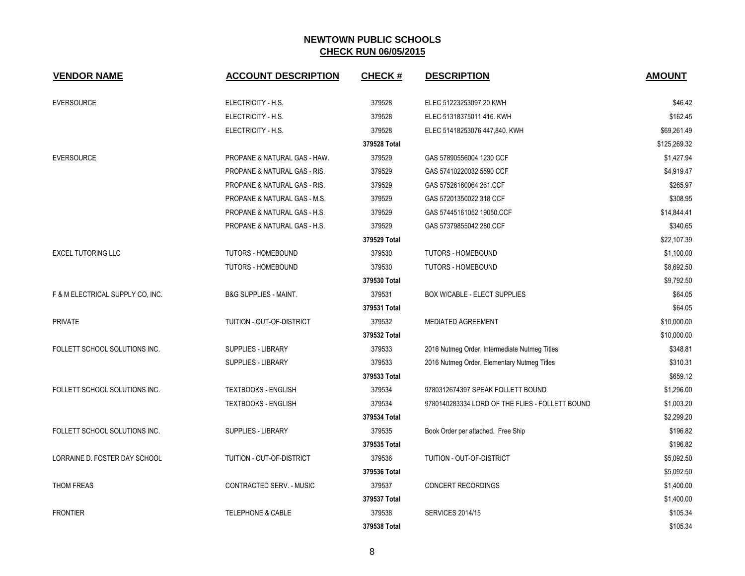| <b>VENDOR NAME</b>               | <b>ACCOUNT DESCRIPTION</b>              | <b>CHECK#</b> | <b>DESCRIPTION</b>                              | <b>AMOUNT</b> |
|----------------------------------|-----------------------------------------|---------------|-------------------------------------------------|---------------|
| <b>EVERSOURCE</b>                | ELECTRICITY - H.S.                      | 379528        | ELEC 51223253097 20.KWH                         | \$46.42       |
|                                  | ELECTRICITY - H.S.                      | 379528        | ELEC 51318375011 416. KWH                       | \$162.45      |
|                                  | ELECTRICITY - H.S.                      | 379528        | ELEC 51418253076 447,840. KWH                   | \$69,261.49   |
|                                  |                                         | 379528 Total  |                                                 | \$125,269.32  |
| <b>EVERSOURCE</b>                | PROPANE & NATURAL GAS - HAW.            | 379529        | GAS 57890556004 1230 CCF                        | \$1,427.94    |
|                                  | <b>PROPANE &amp; NATURAL GAS - RIS.</b> | 379529        | GAS 57410220032 5590 CCF                        | \$4,919.47    |
|                                  | PROPANE & NATURAL GAS - RIS.            | 379529        | GAS 57526160064 261.CCF                         | \$265.97      |
|                                  | PROPANE & NATURAL GAS - M.S.            | 379529        | GAS 57201350022 318 CCF                         | \$308.95      |
|                                  | PROPANE & NATURAL GAS - H.S.            | 379529        | GAS 57445161052 19050.CCF                       | \$14,844.41   |
|                                  | PROPANE & NATURAL GAS - H.S.            | 379529        | GAS 57379855042 280.CCF                         | \$340.65      |
|                                  |                                         | 379529 Total  |                                                 | \$22,107.39   |
| <b>EXCEL TUTORING LLC</b>        | TUTORS - HOMEBOUND                      | 379530        | <b>TUTORS - HOMEBOUND</b>                       | \$1,100.00    |
|                                  | <b>TUTORS - HOMEBOUND</b>               | 379530        | <b>TUTORS - HOMEBOUND</b>                       | \$8,692.50    |
|                                  |                                         | 379530 Total  |                                                 | \$9,792.50    |
| F & M ELECTRICAL SUPPLY CO, INC. | <b>B&amp;G SUPPLIES - MAINT.</b>        | 379531        | <b>BOX W/CABLE - ELECT SUPPLIES</b>             | \$64.05       |
|                                  |                                         | 379531 Total  |                                                 | \$64.05       |
| <b>PRIVATE</b>                   | TUITION - OUT-OF-DISTRICT               | 379532        | <b>MEDIATED AGREEMENT</b>                       | \$10,000.00   |
|                                  |                                         | 379532 Total  |                                                 | \$10,000.00   |
| FOLLETT SCHOOL SOLUTIONS INC.    | <b>SUPPLIES - LIBRARY</b>               | 379533        | 2016 Nutmeg Order, Intermediate Nutmeg Titles   | \$348.81      |
|                                  | SUPPLIES - LIBRARY                      | 379533        | 2016 Nutmeg Order, Elementary Nutmeg Titles     | \$310.31      |
|                                  |                                         | 379533 Total  |                                                 | \$659.12      |
| FOLLETT SCHOOL SOLUTIONS INC.    | <b>TEXTBOOKS - ENGLISH</b>              | 379534        | 9780312674397 SPEAK FOLLETT BOUND               | \$1,296.00    |
|                                  | <b>TEXTBOOKS - ENGLISH</b>              | 379534        | 9780140283334 LORD OF THE FLIES - FOLLETT BOUND | \$1,003.20    |
|                                  |                                         | 379534 Total  |                                                 | \$2,299.20    |
| FOLLETT SCHOOL SOLUTIONS INC.    | SUPPLIES - LIBRARY                      | 379535        | Book Order per attached. Free Ship              | \$196.82      |
|                                  |                                         | 379535 Total  |                                                 | \$196.82      |
| LORRAINE D. FOSTER DAY SCHOOL    | TUITION - OUT-OF-DISTRICT               | 379536        | TUITION - OUT-OF-DISTRICT                       | \$5,092.50    |
|                                  |                                         | 379536 Total  |                                                 | \$5,092.50    |
| THOM FREAS                       | CONTRACTED SERV. - MUSIC                | 379537        | <b>CONCERT RECORDINGS</b>                       | \$1,400.00    |
|                                  |                                         | 379537 Total  |                                                 | \$1,400.00    |
| <b>FRONTIER</b>                  | <b>TELEPHONE &amp; CABLE</b>            | 379538        | <b>SERVICES 2014/15</b>                         | \$105.34      |
|                                  |                                         | 379538 Total  |                                                 | \$105.34      |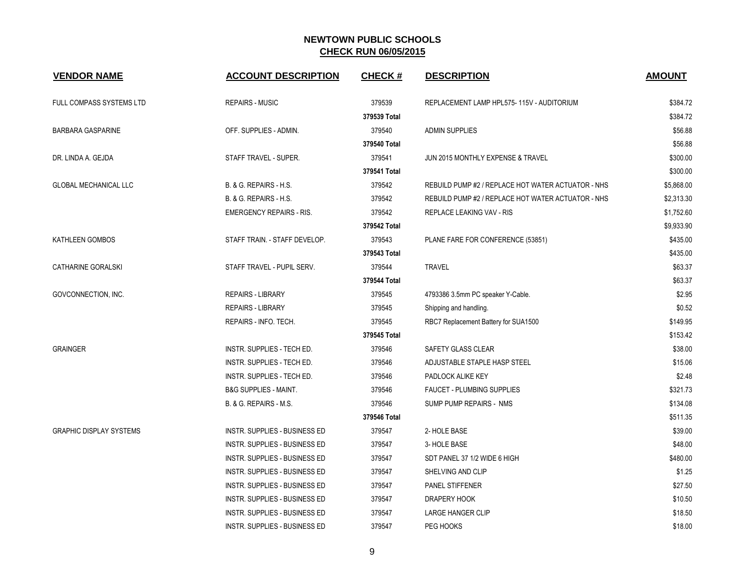| <b>VENDOR NAME</b>             | <b>ACCOUNT DESCRIPTION</b>           | <b>CHECK#</b> | <b>DESCRIPTION</b>                                 | <b>AMOUNT</b> |
|--------------------------------|--------------------------------------|---------------|----------------------------------------------------|---------------|
| FULL COMPASS SYSTEMS LTD       | <b>REPAIRS - MUSIC</b>               | 379539        | REPLACEMENT LAMP HPL575-115V - AUDITORIUM          | \$384.72      |
|                                |                                      | 379539 Total  |                                                    | \$384.72      |
| <b>BARBARA GASPARINE</b>       | OFF. SUPPLIES - ADMIN.               | 379540        | <b>ADMIN SUPPLIES</b>                              | \$56.88       |
|                                |                                      | 379540 Total  |                                                    | \$56.88       |
| DR. LINDA A. GEJDA             | STAFF TRAVEL - SUPER.                | 379541        | JUN 2015 MONTHLY EXPENSE & TRAVEL                  | \$300.00      |
|                                |                                      | 379541 Total  |                                                    | \$300.00      |
| <b>GLOBAL MECHANICAL LLC</b>   | B. & G. REPAIRS - H.S.               | 379542        | REBUILD PUMP #2 / REPLACE HOT WATER ACTUATOR - NHS | \$5,868.00    |
|                                | B. & G. REPAIRS - H.S.               | 379542        | REBUILD PUMP #2 / REPLACE HOT WATER ACTUATOR - NHS | \$2,313.30    |
|                                | <b>EMERGENCY REPAIRS - RIS.</b>      | 379542        | REPLACE LEAKING VAV - RIS                          | \$1,752.60    |
|                                |                                      | 379542 Total  |                                                    | \$9,933.90    |
| KATHLEEN GOMBOS                | STAFF TRAIN. - STAFF DEVELOP.        | 379543        | PLANE FARE FOR CONFERENCE (53851)                  | \$435.00      |
|                                |                                      | 379543 Total  |                                                    | \$435.00      |
| CATHARINE GORALSKI             | STAFF TRAVEL - PUPIL SERV.           | 379544        | <b>TRAVEL</b>                                      | \$63.37       |
|                                |                                      | 379544 Total  |                                                    | \$63.37       |
| GOVCONNECTION, INC.            | <b>REPAIRS - LIBRARY</b>             | 379545        | 4793386 3.5mm PC speaker Y-Cable.                  | \$2.95        |
|                                | <b>REPAIRS - LIBRARY</b>             | 379545        | Shipping and handling.                             | \$0.52        |
|                                | REPAIRS - INFO. TECH.                | 379545        | RBC7 Replacement Battery for SUA1500               | \$149.95      |
|                                |                                      | 379545 Total  |                                                    | \$153.42      |
| <b>GRAINGER</b>                | INSTR. SUPPLIES - TECH ED.           | 379546        | SAFETY GLASS CLEAR                                 | \$38.00       |
|                                | INSTR. SUPPLIES - TECH ED.           | 379546        | ADJUSTABLE STAPLE HASP STEEL                       | \$15.06       |
|                                | INSTR. SUPPLIES - TECH ED.           | 379546        | PADLOCK ALIKE KEY                                  | \$2.48        |
|                                | <b>B&amp;G SUPPLIES - MAINT.</b>     | 379546        | <b>FAUCET - PLUMBING SUPPLIES</b>                  | \$321.73      |
|                                | B. & G. REPAIRS - M.S.               | 379546        | SUMP PUMP REPAIRS - NMS                            | \$134.08      |
|                                |                                      | 379546 Total  |                                                    | \$511.35      |
| <b>GRAPHIC DISPLAY SYSTEMS</b> | INSTR. SUPPLIES - BUSINESS ED        | 379547        | 2- HOLE BASE                                       | \$39.00       |
|                                | INSTR. SUPPLIES - BUSINESS ED        | 379547        | 3- HOLE BASE                                       | \$48.00       |
|                                | INSTR. SUPPLIES - BUSINESS ED        | 379547        | SDT PANEL 37 1/2 WIDE 6 HIGH                       | \$480.00      |
|                                | INSTR. SUPPLIES - BUSINESS ED        | 379547        | SHELVING AND CLIP                                  | \$1.25        |
|                                | INSTR. SUPPLIES - BUSINESS ED        | 379547        | <b>PANEL STIFFENER</b>                             | \$27.50       |
|                                | <b>INSTR. SUPPLIES - BUSINESS ED</b> | 379547        | DRAPERY HOOK                                       | \$10.50       |
|                                | INSTR. SUPPLIES - BUSINESS ED        | 379547        | <b>LARGE HANGER CLIP</b>                           | \$18.50       |
|                                | INSTR. SUPPLIES - BUSINESS ED        | 379547        | PEG HOOKS                                          | \$18.00       |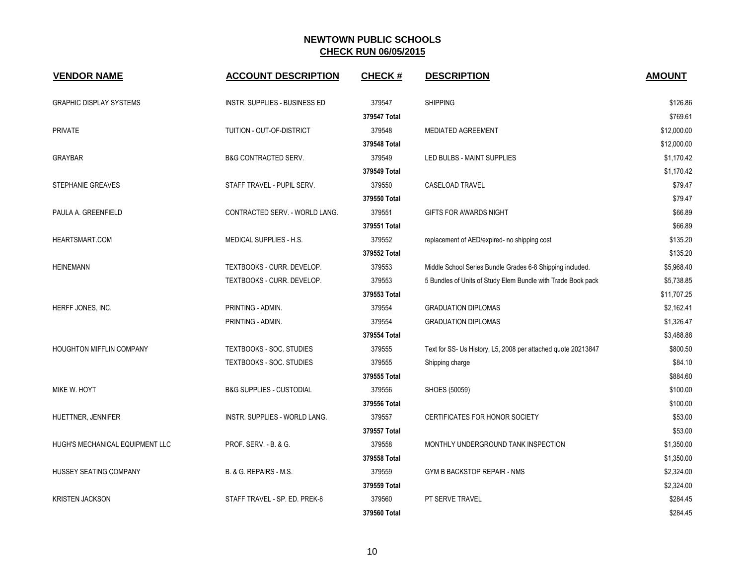| <b>VENDOR NAME</b>              | <b>ACCOUNT DESCRIPTION</b>          | <b>CHECK#</b> | <b>DESCRIPTION</b>                                            | <b>AMOUNT</b> |
|---------------------------------|-------------------------------------|---------------|---------------------------------------------------------------|---------------|
| <b>GRAPHIC DISPLAY SYSTEMS</b>  | INSTR. SUPPLIES - BUSINESS ED       | 379547        | <b>SHIPPING</b>                                               | \$126.86      |
|                                 |                                     | 379547 Total  |                                                               | \$769.61      |
| <b>PRIVATE</b>                  | TUITION - OUT-OF-DISTRICT           | 379548        | <b>MEDIATED AGREEMENT</b>                                     | \$12,000.00   |
|                                 |                                     | 379548 Total  |                                                               | \$12,000.00   |
| <b>GRAYBAR</b>                  | <b>B&amp;G CONTRACTED SERV.</b>     | 379549        | LED BULBS - MAINT SUPPLIES                                    | \$1,170.42    |
|                                 |                                     | 379549 Total  |                                                               | \$1,170.42    |
| <b>STEPHANIE GREAVES</b>        | STAFF TRAVEL - PUPIL SERV.          | 379550        | <b>CASELOAD TRAVEL</b>                                        | \$79.47       |
|                                 |                                     | 379550 Total  |                                                               | \$79.47       |
| PAULA A. GREENFIELD             | CONTRACTED SERV. - WORLD LANG.      | 379551        | GIFTS FOR AWARDS NIGHT                                        | \$66.89       |
|                                 |                                     | 379551 Total  |                                                               | \$66.89       |
| HEARTSMART.COM                  | MEDICAL SUPPLIES - H.S.             | 379552        | replacement of AED/expired- no shipping cost                  | \$135.20      |
|                                 |                                     | 379552 Total  |                                                               | \$135.20      |
| <b>HEINEMANN</b>                | TEXTBOOKS - CURR. DEVELOP.          | 379553        | Middle School Series Bundle Grades 6-8 Shipping included.     | \$5,968.40    |
|                                 | TEXTBOOKS - CURR. DEVELOP.          | 379553        | 5 Bundles of Units of Study Elem Bundle with Trade Book pack  | \$5,738.85    |
|                                 |                                     | 379553 Total  |                                                               | \$11,707.25   |
| HERFF JONES, INC.               | PRINTING - ADMIN.                   | 379554        | <b>GRADUATION DIPLOMAS</b>                                    | \$2,162.41    |
|                                 | PRINTING - ADMIN.                   | 379554        | <b>GRADUATION DIPLOMAS</b>                                    | \$1,326.47    |
|                                 |                                     | 379554 Total  |                                                               | \$3,488.88    |
| <b>HOUGHTON MIFFLIN COMPANY</b> | <b>TEXTBOOKS - SOC. STUDIES</b>     | 379555        | Text for SS- Us History, L5, 2008 per attached quote 20213847 | \$800.50      |
|                                 | <b>TEXTBOOKS - SOC. STUDIES</b>     | 379555        | Shipping charge                                               | \$84.10       |
|                                 |                                     | 379555 Total  |                                                               | \$884.60      |
| MIKE W. HOYT                    | <b>B&amp;G SUPPLIES - CUSTODIAL</b> | 379556        | SHOES (50059)                                                 | \$100.00      |
|                                 |                                     | 379556 Total  |                                                               | \$100.00      |
| HUETTNER, JENNIFER              | INSTR. SUPPLIES - WORLD LANG.       | 379557        | CERTIFICATES FOR HONOR SOCIETY                                | \$53.00       |
|                                 |                                     | 379557 Total  |                                                               | \$53.00       |
| HUGH'S MECHANICAL EQUIPMENT LLC | PROF. SERV. - B. & G.               | 379558        | MONTHLY UNDERGROUND TANK INSPECTION                           | \$1,350.00    |
|                                 |                                     | 379558 Total  |                                                               | \$1,350.00    |
| HUSSEY SEATING COMPANY          | B. & G. REPAIRS - M.S.              | 379559        | GYM B BACKSTOP REPAIR - NMS                                   | \$2,324.00    |
|                                 |                                     | 379559 Total  |                                                               | \$2,324.00    |
| <b>KRISTEN JACKSON</b>          | STAFF TRAVEL - SP. ED. PREK-8       | 379560        | PT SERVE TRAVEL                                               | \$284.45      |
|                                 |                                     | 379560 Total  |                                                               | \$284.45      |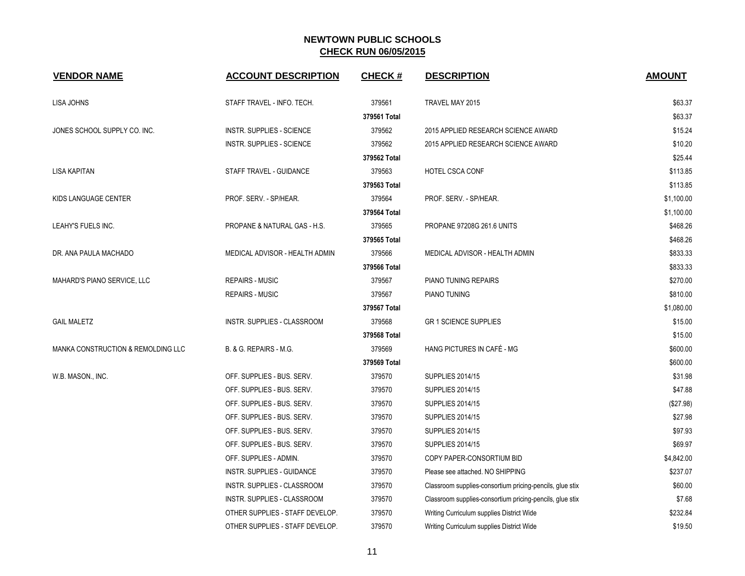| <b>VENDOR NAME</b>                            | <b>ACCOUNT DESCRIPTION</b>        | <b>CHECK#</b> | <b>DESCRIPTION</b>                                       | <b>AMOUNT</b> |
|-----------------------------------------------|-----------------------------------|---------------|----------------------------------------------------------|---------------|
| <b>LISA JOHNS</b>                             | STAFF TRAVEL - INFO. TECH.        | 379561        | TRAVEL MAY 2015                                          | \$63.37       |
|                                               |                                   | 379561 Total  |                                                          | \$63.37       |
| JONES SCHOOL SUPPLY CO. INC.                  | INSTR. SUPPLIES - SCIENCE         | 379562        | 2015 APPLIED RESEARCH SCIENCE AWARD                      | \$15.24       |
|                                               | <b>INSTR. SUPPLIES - SCIENCE</b>  | 379562        | 2015 APPLIED RESEARCH SCIENCE AWARD                      | \$10.20       |
|                                               |                                   | 379562 Total  |                                                          | \$25.44       |
| <b>LISA KAPITAN</b>                           | STAFF TRAVEL - GUIDANCE           | 379563        | HOTEL CSCA CONF                                          | \$113.85      |
|                                               |                                   | 379563 Total  |                                                          | \$113.85      |
| KIDS LANGUAGE CENTER                          | PROF. SERV. - SP/HEAR.            | 379564        | PROF. SERV. - SP/HEAR.                                   | \$1,100.00    |
|                                               |                                   | 379564 Total  |                                                          | \$1,100.00    |
| LEAHY'S FUELS INC.                            | PROPANE & NATURAL GAS - H.S.      | 379565        | PROPANE 97208G 261.6 UNITS                               | \$468.26      |
|                                               |                                   | 379565 Total  |                                                          | \$468.26      |
| DR. ANA PAULA MACHADO                         | MEDICAL ADVISOR - HEALTH ADMIN    | 379566        | MEDICAL ADVISOR - HEALTH ADMIN                           | \$833.33      |
|                                               |                                   | 379566 Total  |                                                          | \$833.33      |
| MAHARD'S PIANO SERVICE, LLC                   | <b>REPAIRS - MUSIC</b>            | 379567        | PIANO TUNING REPAIRS                                     | \$270.00      |
|                                               | <b>REPAIRS - MUSIC</b>            | 379567        | PIANO TUNING                                             | \$810.00      |
|                                               |                                   | 379567 Total  |                                                          | \$1,080.00    |
| <b>GAIL MALETZ</b>                            | INSTR. SUPPLIES - CLASSROOM       | 379568        | <b>GR 1 SCIENCE SUPPLIES</b>                             | \$15.00       |
|                                               |                                   | 379568 Total  |                                                          | \$15.00       |
| <b>MANKA CONSTRUCTION &amp; REMOLDING LLC</b> | B. & G. REPAIRS - M.G.            | 379569        | HANG PICTURES IN CAFÉ - MG                               | \$600.00      |
|                                               |                                   | 379569 Total  |                                                          | \$600.00      |
| W.B. MASON., INC.                             | OFF. SUPPLIES - BUS. SERV.        | 379570        | <b>SUPPLIES 2014/15</b>                                  | \$31.98       |
|                                               | OFF. SUPPLIES - BUS. SERV.        | 379570        | <b>SUPPLIES 2014/15</b>                                  | \$47.88       |
|                                               | OFF. SUPPLIES - BUS. SERV.        | 379570        | <b>SUPPLIES 2014/15</b>                                  | (\$27.98)     |
|                                               | OFF. SUPPLIES - BUS. SERV.        | 379570        | <b>SUPPLIES 2014/15</b>                                  | \$27.98       |
|                                               | OFF. SUPPLIES - BUS. SERV.        | 379570        | <b>SUPPLIES 2014/15</b>                                  | \$97.93       |
|                                               | OFF. SUPPLIES - BUS. SERV.        | 379570        | <b>SUPPLIES 2014/15</b>                                  | \$69.97       |
|                                               | OFF. SUPPLIES - ADMIN.            | 379570        | COPY PAPER-CONSORTIUM BID                                | \$4,842.00    |
|                                               | <b>INSTR. SUPPLIES - GUIDANCE</b> | 379570        | Please see attached. NO SHIPPING                         | \$237.07      |
|                                               | INSTR. SUPPLIES - CLASSROOM       | 379570        | Classroom supplies-consortium pricing-pencils, glue stix | \$60.00       |
|                                               | INSTR. SUPPLIES - CLASSROOM       | 379570        | Classroom supplies-consortium pricing-pencils, glue stix | \$7.68        |
|                                               | OTHER SUPPLIES - STAFF DEVELOP.   | 379570        | Writing Curriculum supplies District Wide                | \$232.84      |
|                                               | OTHER SUPPLIES - STAFF DEVELOP.   | 379570        | Writing Curriculum supplies District Wide                | \$19.50       |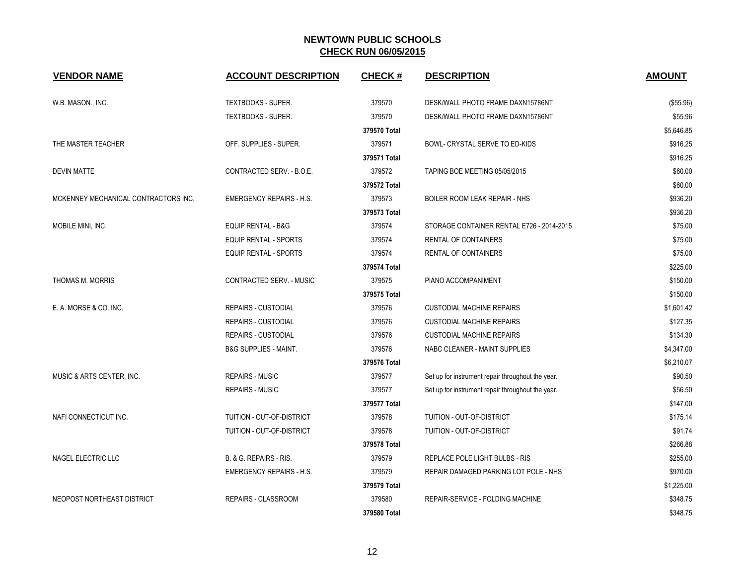| <b>VENDOR NAME</b>                   | <b>ACCOUNT DESCRIPTION</b>       | <b>CHECK#</b> | <b>DESCRIPTION</b>                                | <b>AMOUNT</b> |
|--------------------------------------|----------------------------------|---------------|---------------------------------------------------|---------------|
| W.B. MASON., INC.                    | TEXTBOOKS - SUPER.               | 379570        | DESK/WALL PHOTO FRAME DAXN15786NT                 | (\$55.96)     |
|                                      | TEXTBOOKS - SUPER.               | 379570        | DESK/WALL PHOTO FRAME DAXN15786NT                 | \$55.96       |
|                                      |                                  | 379570 Total  |                                                   | \$5,646.85    |
| THE MASTER TEACHER                   | OFF. SUPPLIES - SUPER.           | 379571        | BOWL- CRYSTAL SERVE TO ED-KIDS                    | \$916.25      |
|                                      |                                  | 379571 Total  |                                                   | \$916.25      |
| <b>DEVIN MATTE</b>                   | CONTRACTED SERV. - B.O.E.        | 379572        | TAPING BOE MEETING 05/05/2015                     | \$60.00       |
|                                      |                                  | 379572 Total  |                                                   | \$60.00       |
| MCKENNEY MECHANICAL CONTRACTORS INC. | <b>EMERGENCY REPAIRS - H.S.</b>  | 379573        | BOILER ROOM LEAK REPAIR - NHS                     | \$936.20      |
|                                      |                                  | 379573 Total  |                                                   | \$936.20      |
| MOBILE MINI, INC.                    | <b>EQUIP RENTAL - B&amp;G</b>    | 379574        | STORAGE CONTAINER RENTAL E726 - 2014-2015         | \$75.00       |
|                                      | EQUIP RENTAL - SPORTS            | 379574        | <b>RENTAL OF CONTAINERS</b>                       | \$75.00       |
|                                      | <b>EQUIP RENTAL - SPORTS</b>     | 379574        | RENTAL OF CONTAINERS                              | \$75.00       |
|                                      |                                  | 379574 Total  |                                                   | \$225.00      |
| <b>THOMAS M. MORRIS</b>              | <b>CONTRACTED SERV. - MUSIC</b>  | 379575        | PIANO ACCOMPANIMENT                               | \$150.00      |
|                                      |                                  | 379575 Total  |                                                   | \$150.00      |
| E. A. MORSE & CO. INC.               | REPAIRS - CUSTODIAL              | 379576        | <b>CUSTODIAL MACHINE REPAIRS</b>                  | \$1,601.42    |
|                                      | REPAIRS - CUSTODIAL              | 379576        | <b>CUSTODIAL MACHINE REPAIRS</b>                  | \$127.35      |
|                                      | <b>REPAIRS - CUSTODIAL</b>       | 379576        | <b>CUSTODIAL MACHINE REPAIRS</b>                  | \$134.30      |
|                                      | <b>B&amp;G SUPPLIES - MAINT.</b> | 379576        | NABC CLEANER - MAINT SUPPLIES                     | \$4,347.00    |
|                                      |                                  | 379576 Total  |                                                   | \$6,210.07    |
| MUSIC & ARTS CENTER, INC.            | <b>REPAIRS - MUSIC</b>           | 379577        | Set up for instrument repair throughout the year. | \$90.50       |
|                                      | <b>REPAIRS - MUSIC</b>           | 379577        | Set up for instrument repair throughout the year. | \$56.50       |
|                                      |                                  | 379577 Total  |                                                   | \$147.00      |
| NAFI CONNECTICUT INC.                | TUITION - OUT-OF-DISTRICT        | 379578        | TUITION - OUT-OF-DISTRICT                         | \$175.14      |
|                                      | TUITION - OUT-OF-DISTRICT        | 379578        | TUITION - OUT-OF-DISTRICT                         | \$91.74       |
|                                      |                                  | 379578 Total  |                                                   | \$266.88      |
| NAGEL ELECTRIC LLC                   | B. & G. REPAIRS - RIS.           | 379579        | REPLACE POLE LIGHT BULBS - RIS                    | \$255.00      |
|                                      | <b>EMERGENCY REPAIRS - H.S.</b>  | 379579        | REPAIR DAMAGED PARKING LOT POLE - NHS             | \$970.00      |
|                                      |                                  | 379579 Total  |                                                   | \$1,225.00    |
| NEOPOST NORTHEAST DISTRICT           | REPAIRS - CLASSROOM              | 379580        | REPAIR-SERVICE - FOLDING MACHINE                  | \$348.75      |
|                                      |                                  | 379580 Total  |                                                   | \$348.75      |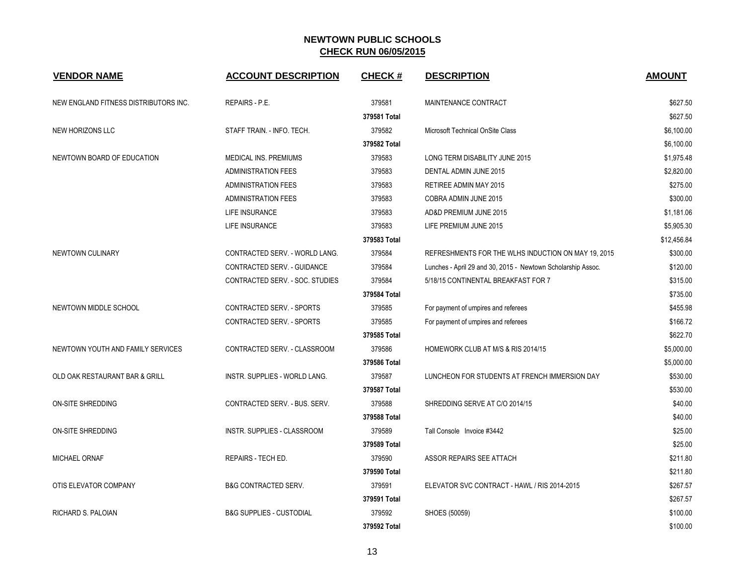| <b>VENDOR NAME</b>                    | <b>ACCOUNT DESCRIPTION</b>          | <b>CHECK#</b> | <b>DESCRIPTION</b>                                           | <b>AMOUNT</b> |
|---------------------------------------|-------------------------------------|---------------|--------------------------------------------------------------|---------------|
| NEW ENGLAND FITNESS DISTRIBUTORS INC. | <b>REPAIRS - P.E.</b>               | 379581        | MAINTENANCE CONTRACT                                         | \$627.50      |
|                                       |                                     | 379581 Total  |                                                              | \$627.50      |
| NEW HORIZONS LLC                      | STAFF TRAIN. - INFO. TECH.          | 379582        | Microsoft Technical OnSite Class                             | \$6,100.00    |
|                                       |                                     | 379582 Total  |                                                              | \$6,100.00    |
| NEWTOWN BOARD OF EDUCATION            | MEDICAL INS. PREMIUMS               | 379583        | LONG TERM DISABILITY JUNE 2015                               | \$1,975.48    |
|                                       | <b>ADMINISTRATION FEES</b>          | 379583        | DENTAL ADMIN JUNE 2015                                       | \$2,820.00    |
|                                       | <b>ADMINISTRATION FEES</b>          | 379583        | RETIREE ADMIN MAY 2015                                       | \$275.00      |
|                                       | <b>ADMINISTRATION FEES</b>          | 379583        | COBRA ADMIN JUNE 2015                                        | \$300.00      |
|                                       | <b>LIFE INSURANCE</b>               | 379583        | AD&D PREMIUM JUNE 2015                                       | \$1,181.06    |
|                                       | <b>LIFE INSURANCE</b>               | 379583        | LIFE PREMIUM JUNE 2015                                       | \$5,905.30    |
|                                       |                                     | 379583 Total  |                                                              | \$12,456.84   |
| NEWTOWN CULINARY                      | CONTRACTED SERV. - WORLD LANG.      | 379584        | REFRESHMENTS FOR THE WLHS INDUCTION ON MAY 19, 2015          | \$300.00      |
|                                       | CONTRACTED SERV. - GUIDANCE         | 379584        | Lunches - April 29 and 30, 2015 - Newtown Scholarship Assoc. | \$120.00      |
|                                       | CONTRACTED SERV. - SOC. STUDIES     | 379584        | 5/18/15 CONTINENTAL BREAKFAST FOR 7                          | \$315.00      |
|                                       |                                     | 379584 Total  |                                                              | \$735.00      |
| NEWTOWN MIDDLE SCHOOL                 | <b>CONTRACTED SERV. - SPORTS</b>    | 379585        | For payment of umpires and referees                          | \$455.98      |
|                                       | CONTRACTED SERV. - SPORTS           | 379585        | For payment of umpires and referees                          | \$166.72      |
|                                       |                                     | 379585 Total  |                                                              | \$622.70      |
| NEWTOWN YOUTH AND FAMILY SERVICES     | CONTRACTED SERV. - CLASSROOM        | 379586        | HOMEWORK CLUB AT M/S & RIS 2014/15                           | \$5,000.00    |
|                                       |                                     | 379586 Total  |                                                              | \$5,000.00    |
| OLD OAK RESTAURANT BAR & GRILL        | INSTR. SUPPLIES - WORLD LANG.       | 379587        | LUNCHEON FOR STUDENTS AT FRENCH IMMERSION DAY                | \$530.00      |
|                                       |                                     | 379587 Total  |                                                              | \$530.00      |
| ON-SITE SHREDDING                     | CONTRACTED SERV. - BUS. SERV.       | 379588        | SHREDDING SERVE AT C/O 2014/15                               | \$40.00       |
|                                       |                                     | 379588 Total  |                                                              | \$40.00       |
| <b>ON-SITE SHREDDING</b>              | <b>INSTR. SUPPLIES - CLASSROOM</b>  | 379589        | Tall Console Invoice #3442                                   | \$25.00       |
|                                       |                                     | 379589 Total  |                                                              | \$25.00       |
| <b>MICHAEL ORNAF</b>                  | REPAIRS - TECH ED.                  | 379590        | ASSOR REPAIRS SEE ATTACH                                     | \$211.80      |
|                                       |                                     | 379590 Total  |                                                              | \$211.80      |
| OTIS ELEVATOR COMPANY                 | <b>B&amp;G CONTRACTED SERV.</b>     | 379591        | ELEVATOR SVC CONTRACT - HAWL / RIS 2014-2015                 | \$267.57      |
|                                       |                                     | 379591 Total  |                                                              | \$267.57      |
| RICHARD S. PALOIAN                    | <b>B&amp;G SUPPLIES - CUSTODIAL</b> | 379592        | SHOES (50059)                                                | \$100.00      |
|                                       |                                     | 379592 Total  |                                                              | \$100.00      |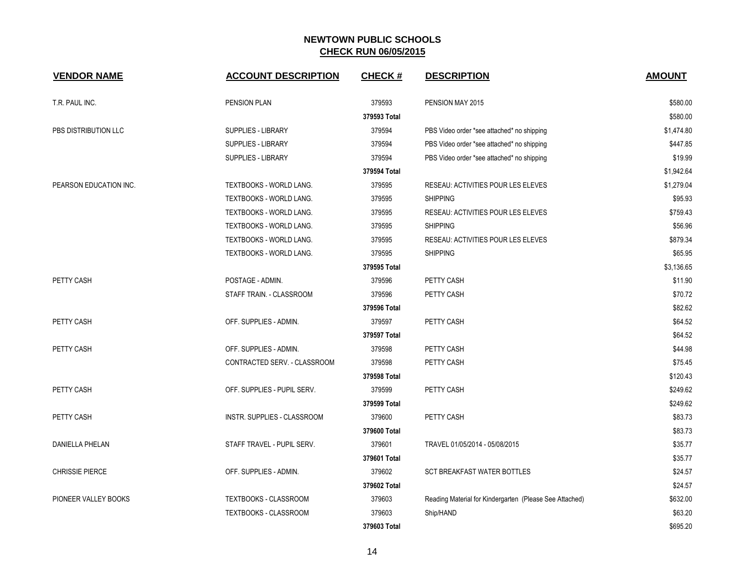| <b>VENDOR NAME</b>     | <b>ACCOUNT DESCRIPTION</b>   | <b>CHECK#</b> | <b>DESCRIPTION</b>                                      | <b>AMOUNT</b> |
|------------------------|------------------------------|---------------|---------------------------------------------------------|---------------|
| T.R. PAUL INC.         | PENSION PLAN                 | 379593        | PENSION MAY 2015                                        | \$580.00      |
|                        |                              | 379593 Total  |                                                         | \$580.00      |
| PBS DISTRIBUTION LLC   | SUPPLIES - LIBRARY           | 379594        | PBS Video order *see attached* no shipping              | \$1,474.80    |
|                        | SUPPLIES - LIBRARY           | 379594        | PBS Video order *see attached* no shipping              | \$447.85      |
|                        | SUPPLIES - LIBRARY           | 379594        | PBS Video order *see attached* no shipping              | \$19.99       |
|                        |                              | 379594 Total  |                                                         | \$1,942.64    |
| PEARSON EDUCATION INC. | TEXTBOOKS - WORLD LANG.      | 379595        | RESEAU: ACTIVITIES POUR LES ELEVES                      | \$1,279.04    |
|                        | TEXTBOOKS - WORLD LANG.      | 379595        | <b>SHIPPING</b>                                         | \$95.93       |
|                        | TEXTBOOKS - WORLD LANG.      | 379595        | RESEAU: ACTIVITIES POUR LES ELEVES                      | \$759.43      |
|                        | TEXTBOOKS - WORLD LANG.      | 379595        | <b>SHIPPING</b>                                         | \$56.96       |
|                        | TEXTBOOKS - WORLD LANG.      | 379595        | RESEAU: ACTIVITIES POUR LES ELEVES                      | \$879.34      |
|                        | TEXTBOOKS - WORLD LANG.      | 379595        | <b>SHIPPING</b>                                         | \$65.95       |
|                        |                              | 379595 Total  |                                                         | \$3,136.65    |
| PETTY CASH             | POSTAGE - ADMIN.             | 379596        | PETTY CASH                                              | \$11.90       |
|                        | STAFF TRAIN. - CLASSROOM     | 379596        | PETTY CASH                                              | \$70.72       |
|                        |                              | 379596 Total  |                                                         | \$82.62       |
| PETTY CASH             | OFF. SUPPLIES - ADMIN.       | 379597        | PETTY CASH                                              | \$64.52       |
|                        |                              | 379597 Total  |                                                         | \$64.52       |
| PETTY CASH             | OFF. SUPPLIES - ADMIN.       | 379598        | PETTY CASH                                              | \$44.98       |
|                        | CONTRACTED SERV. - CLASSROOM | 379598        | PETTY CASH                                              | \$75.45       |
|                        |                              | 379598 Total  |                                                         | \$120.43      |
| PETTY CASH             | OFF. SUPPLIES - PUPIL SERV.  | 379599        | PETTY CASH                                              | \$249.62      |
|                        |                              | 379599 Total  |                                                         | \$249.62      |
| PETTY CASH             | INSTR. SUPPLIES - CLASSROOM  | 379600        | PETTY CASH                                              | \$83.73       |
|                        |                              | 379600 Total  |                                                         | \$83.73       |
| <b>DANIELLA PHELAN</b> | STAFF TRAVEL - PUPIL SERV.   | 379601        | TRAVEL 01/05/2014 - 05/08/2015                          | \$35.77       |
|                        |                              | 379601 Total  |                                                         | \$35.77       |
| <b>CHRISSIE PIERCE</b> | OFF. SUPPLIES - ADMIN.       | 379602        | SCT BREAKFAST WATER BOTTLES                             | \$24.57       |
|                        |                              | 379602 Total  |                                                         | \$24.57       |
| PIONEER VALLEY BOOKS   | TEXTBOOKS - CLASSROOM        | 379603        | Reading Material for Kindergarten (Please See Attached) | \$632.00      |
|                        | <b>TEXTBOOKS - CLASSROOM</b> | 379603        | Ship/HAND                                               | \$63.20       |
|                        |                              | 379603 Total  |                                                         | \$695.20      |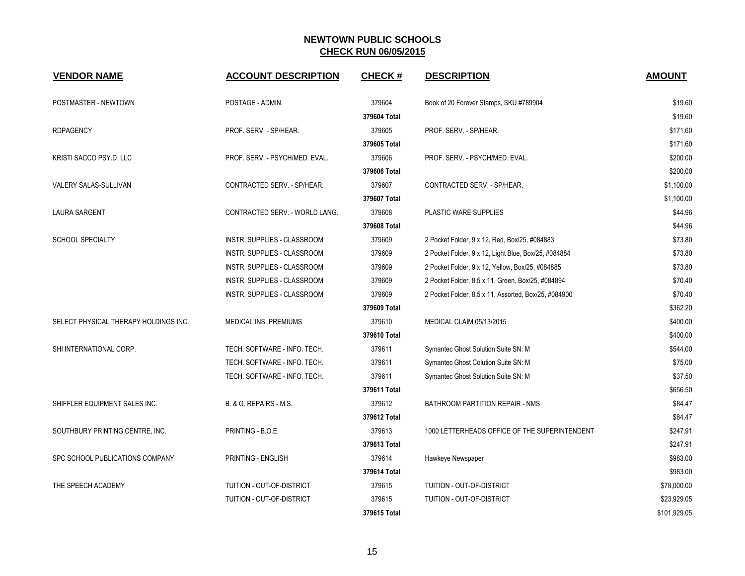| <b>VENDOR NAME</b>                    | <b>ACCOUNT DESCRIPTION</b>     | <b>CHECK#</b> | <b>DESCRIPTION</b>                                   | <b>AMOUNT</b> |
|---------------------------------------|--------------------------------|---------------|------------------------------------------------------|---------------|
| POSTMASTER - NEWTOWN                  | POSTAGE - ADMIN.               | 379604        | Book of 20 Forever Stamps, SKU #789904               | \$19.60       |
|                                       |                                | 379604 Total  |                                                      | \$19.60       |
| <b>RDPAGENCY</b>                      | PROF. SERV. - SP/HEAR.         | 379605        | PROF. SERV. - SP/HEAR.                               | \$171.60      |
|                                       |                                | 379605 Total  |                                                      | \$171.60      |
| KRISTI SACCO PSY.D. LLC               | PROF. SERV. - PSYCH/MED. EVAL. | 379606        | PROF. SERV. - PSYCH/MED. EVAL.                       | \$200.00      |
|                                       |                                | 379606 Total  |                                                      | \$200.00      |
| VALERY SALAS-SULLIVAN                 | CONTRACTED SERV. - SP/HEAR.    | 379607        | CONTRACTED SERV. - SP/HEAR.                          | \$1,100.00    |
|                                       |                                | 379607 Total  |                                                      | \$1,100.00    |
| <b>LAURA SARGENT</b>                  | CONTRACTED SERV. - WORLD LANG. | 379608        | PLASTIC WARE SUPPLIES                                | \$44.96       |
|                                       |                                | 379608 Total  |                                                      | \$44.96       |
| <b>SCHOOL SPECIALTY</b>               | INSTR. SUPPLIES - CLASSROOM    | 379609        | 2 Pocket Folder, 9 x 12, Red, Box/25, #084883        | \$73.80       |
|                                       | INSTR. SUPPLIES - CLASSROOM    | 379609        | 2 Pocket Folder, 9 x 12, Light Blue, Box/25, #084884 | \$73.80       |
|                                       | INSTR. SUPPLIES - CLASSROOM    | 379609        | 2 Pocket Folder, 9 x 12, Yellow, Box/25, #084885     | \$73.80       |
|                                       | INSTR. SUPPLIES - CLASSROOM    | 379609        | 2 Pocket Folder, 8.5 x 11, Green, Box/25, #084894    | \$70.40       |
|                                       | INSTR. SUPPLIES - CLASSROOM    | 379609        | 2 Pocket Folder, 8.5 x 11, Assorted, Box/25, #084900 | \$70.40       |
|                                       |                                | 379609 Total  |                                                      | \$362.20      |
| SELECT PHYSICAL THERAPY HOLDINGS INC. | MEDICAL INS. PREMIUMS          | 379610        | MEDICAL CLAIM 05/13/2015                             | \$400.00      |
|                                       |                                | 379610 Total  |                                                      | \$400.00      |
| SHI INTERNATIONAL CORP.               | TECH. SOFTWARE - INFO. TECH.   | 379611        | Symantec Ghost Solution Suite SN: M                  | \$544.00      |
|                                       | TECH. SOFTWARE - INFO. TECH.   | 379611        | Symantec Ghost Colution Suite SN: M                  | \$75.00       |
|                                       | TECH. SOFTWARE - INFO. TECH.   | 379611        | Symantec Ghost Solution Suite SN: M                  | \$37.50       |
|                                       |                                | 379611 Total  |                                                      | \$656.50      |
| SHIFFLER EQUIPMENT SALES INC.         | B. & G. REPAIRS - M.S.         | 379612        | BATHROOM PARTITION REPAIR - NMS                      | \$84.47       |
|                                       |                                | 379612 Total  |                                                      | \$84.47       |
| SOUTHBURY PRINTING CENTRE, INC.       | PRINTING - B.O.E.              | 379613        | 1000 LETTERHEADS OFFICE OF THE SUPERINTENDENT        | \$247.91      |
|                                       |                                | 379613 Total  |                                                      | \$247.91      |
| SPC SCHOOL PUBLICATIONS COMPANY       | PRINTING - ENGLISH             | 379614        | Hawkeye Newspaper                                    | \$983.00      |
|                                       |                                | 379614 Total  |                                                      | \$983.00      |
| THE SPEECH ACADEMY                    | TUITION - OUT-OF-DISTRICT      | 379615        | TUITION - OUT-OF-DISTRICT                            | \$78,000.00   |
|                                       | TUITION - OUT-OF-DISTRICT      | 379615        | <b>TUITION - OUT-OF-DISTRICT</b>                     | \$23,929.05   |
|                                       |                                | 379615 Total  |                                                      | \$101,929.05  |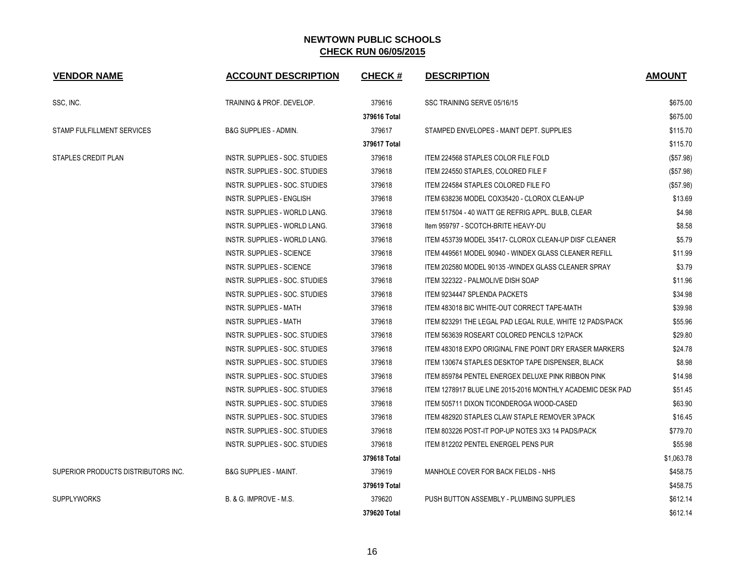| <b>VENDOR NAME</b>                  | <b>ACCOUNT DESCRIPTION</b>       | <b>CHECK#</b> | <b>DESCRIPTION</b>                                         | <b>AMOUNT</b> |
|-------------------------------------|----------------------------------|---------------|------------------------------------------------------------|---------------|
| SSC, INC.                           | TRAINING & PROF. DEVELOP.        | 379616        | SSC TRAINING SERVE 05/16/15                                | \$675.00      |
|                                     |                                  | 379616 Total  |                                                            | \$675.00      |
| STAMP FULFILLMENT SERVICES          | <b>B&amp;G SUPPLIES - ADMIN.</b> | 379617        | STAMPED ENVELOPES - MAINT DEPT. SUPPLIES                   | \$115.70      |
|                                     |                                  | 379617 Total  |                                                            | \$115.70      |
| STAPLES CREDIT PLAN                 | INSTR. SUPPLIES - SOC. STUDIES   | 379618        | <b>ITEM 224568 STAPLES COLOR FILE FOLD</b>                 | (\$57.98)     |
|                                     | INSTR. SUPPLIES - SOC. STUDIES   | 379618        | ITEM 224550 STAPLES, COLORED FILE F                        | (\$57.98)     |
|                                     | INSTR. SUPPLIES - SOC. STUDIES   | 379618        | ITEM 224584 STAPLES COLORED FILE FO                        | (\$57.98)     |
|                                     | <b>INSTR. SUPPLIES - ENGLISH</b> | 379618        | ITEM 638236 MODEL COX35420 - CLOROX CLEAN-UP               | \$13.69       |
|                                     | INSTR. SUPPLIES - WORLD LANG.    | 379618        | ITEM 517504 - 40 WATT GE REFRIG APPL. BULB, CLEAR          | \$4.98        |
|                                     | INSTR. SUPPLIES - WORLD LANG.    | 379618        | Item 959797 - SCOTCH-BRITE HEAVY-DU                        | \$8.58        |
|                                     | INSTR. SUPPLIES - WORLD LANG.    | 379618        | ITEM 453739 MODEL 35417- CLOROX CLEAN-UP DISF CLEANER      | \$5.79        |
|                                     | INSTR. SUPPLIES - SCIENCE        | 379618        | ITEM 449561 MODEL 90940 - WINDEX GLASS CLEANER REFILL      | \$11.99       |
|                                     | <b>INSTR. SUPPLIES - SCIENCE</b> | 379618        | ITEM 202580 MODEL 90135 - WINDEX GLASS CLEANER SPRAY       | \$3.79        |
|                                     | INSTR. SUPPLIES - SOC. STUDIES   | 379618        | ITEM 322322 - PALMOLIVE DISH SOAP                          | \$11.96       |
|                                     | INSTR. SUPPLIES - SOC. STUDIES   | 379618        | ITEM 9234447 SPLENDA PACKETS                               | \$34.98       |
|                                     | <b>INSTR. SUPPLIES - MATH</b>    | 379618        | ITEM 483018 BIC WHITE-OUT CORRECT TAPE-MATH                | \$39.98       |
|                                     | INSTR. SUPPLIES - MATH           | 379618        | ITEM 823291 THE LEGAL PAD LEGAL RULE, WHITE 12 PADS/PACK   | \$55.96       |
|                                     | INSTR. SUPPLIES - SOC. STUDIES   | 379618        | ITEM 563639 ROSEART COLORED PENCILS 12/PACK                | \$29.80       |
|                                     | INSTR. SUPPLIES - SOC. STUDIES   | 379618        | ITEM 483018 EXPO ORIGINAL FINE POINT DRY ERASER MARKERS    | \$24.78       |
|                                     | INSTR. SUPPLIES - SOC. STUDIES   | 379618        | ITEM 130674 STAPLES DESKTOP TAPE DISPENSER. BLACK          | \$8.98        |
|                                     | INSTR. SUPPLIES - SOC. STUDIES   | 379618        | ITEM 859784 PENTEL ENERGEX DELUXE PINK RIBBON PINK         | \$14.98       |
|                                     | INSTR. SUPPLIES - SOC. STUDIES   | 379618        | ITEM 1278917 BLUE LINE 2015-2016 MONTHLY ACADEMIC DESK PAD | \$51.45       |
|                                     | INSTR. SUPPLIES - SOC. STUDIES   | 379618        | ITEM 505711 DIXON TICONDEROGA WOOD-CASED                   | \$63.90       |
|                                     | INSTR. SUPPLIES - SOC. STUDIES   | 379618        | ITEM 482920 STAPLES CLAW STAPLE REMOVER 3/PACK             | \$16.45       |
|                                     | INSTR. SUPPLIES - SOC. STUDIES   | 379618        | ITEM 803226 POST-IT POP-UP NOTES 3X3 14 PADS/PACK          | \$779.70      |
|                                     | INSTR. SUPPLIES - SOC. STUDIES   | 379618        | ITEM 812202 PENTEL ENERGEL PENS PUR                        | \$55.98       |
|                                     |                                  | 379618 Total  |                                                            | \$1,063.78    |
| SUPERIOR PRODUCTS DISTRIBUTORS INC. | <b>B&amp;G SUPPLIES - MAINT.</b> | 379619        | MANHOLE COVER FOR BACK FIELDS - NHS                        | \$458.75      |
|                                     |                                  | 379619 Total  |                                                            | \$458.75      |
| <b>SUPPLYWORKS</b>                  | B. & G. IMPROVE - M.S.           | 379620        | PUSH BUTTON ASSEMBLY - PLUMBING SUPPLIES                   | \$612.14      |
|                                     |                                  | 379620 Total  |                                                            | \$612.14      |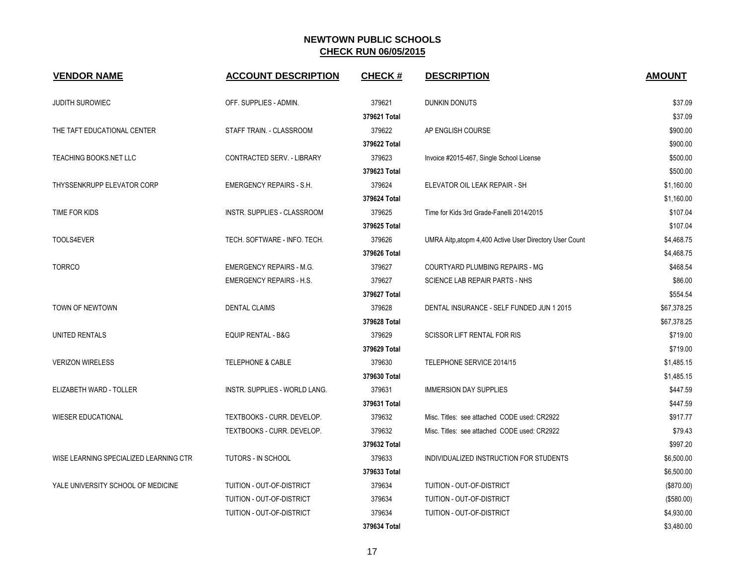| <b>VENDOR NAME</b>                     | <b>ACCOUNT DESCRIPTION</b>      | <b>CHECK#</b> | <b>DESCRIPTION</b>                                      | <b>AMOUNT</b> |
|----------------------------------------|---------------------------------|---------------|---------------------------------------------------------|---------------|
| <b>JUDITH SUROWIEC</b>                 | OFF. SUPPLIES - ADMIN.          | 379621        | <b>DUNKIN DONUTS</b>                                    | \$37.09       |
|                                        |                                 | 379621 Total  |                                                         | \$37.09       |
| THE TAFT EDUCATIONAL CENTER            | STAFF TRAIN. - CLASSROOM        | 379622        | AP ENGLISH COURSE                                       | \$900.00      |
|                                        |                                 | 379622 Total  |                                                         | \$900.00      |
| TEACHING BOOKS.NET LLC                 | CONTRACTED SERV. - LIBRARY      | 379623        | Invoice #2015-467, Single School License                | \$500.00      |
|                                        |                                 | 379623 Total  |                                                         | \$500.00      |
| THYSSENKRUPP ELEVATOR CORP             | <b>EMERGENCY REPAIRS - S.H.</b> | 379624        | ELEVATOR OIL LEAK REPAIR - SH                           | \$1,160.00    |
|                                        |                                 | 379624 Total  |                                                         | \$1,160.00    |
| TIME FOR KIDS                          | INSTR. SUPPLIES - CLASSROOM     | 379625        | Time for Kids 3rd Grade-Fanelli 2014/2015               | \$107.04      |
|                                        |                                 | 379625 Total  |                                                         | \$107.04      |
| TOOLS4EVER                             | TECH. SOFTWARE - INFO. TECH.    | 379626        | UMRA Aitp, atopm 4,400 Active User Directory User Count | \$4,468.75    |
|                                        |                                 | 379626 Total  |                                                         | \$4,468.75    |
| <b>TORRCO</b>                          | <b>EMERGENCY REPAIRS - M.G.</b> | 379627        | COURTYARD PLUMBING REPAIRS - MG                         | \$468.54      |
|                                        | <b>EMERGENCY REPAIRS - H.S.</b> | 379627        | SCIENCE LAB REPAIR PARTS - NHS                          | \$86.00       |
|                                        |                                 | 379627 Total  |                                                         | \$554.54      |
| TOWN OF NEWTOWN                        | <b>DENTAL CLAIMS</b>            | 379628        | DENTAL INSURANCE - SELF FUNDED JUN 1 2015               | \$67,378.25   |
|                                        |                                 | 379628 Total  |                                                         | \$67,378.25   |
| UNITED RENTALS                         | <b>EQUIP RENTAL - B&amp;G</b>   | 379629        | <b>SCISSOR LIFT RENTAL FOR RIS</b>                      | \$719.00      |
|                                        |                                 | 379629 Total  |                                                         | \$719.00      |
| <b>VERIZON WIRELESS</b>                | TELEPHONE & CABLE               | 379630        | TELEPHONE SERVICE 2014/15                               | \$1,485.15    |
|                                        |                                 | 379630 Total  |                                                         | \$1,485.15    |
| ELIZABETH WARD - TOLLER                | INSTR. SUPPLIES - WORLD LANG.   | 379631        | <b>IMMERSION DAY SUPPLIES</b>                           | \$447.59      |
|                                        |                                 | 379631 Total  |                                                         | \$447.59      |
| <b>WIESER EDUCATIONAL</b>              | TEXTBOOKS - CURR. DEVELOP.      | 379632        | Misc. Titles: see attached CODE used: CR2922            | \$917.77      |
|                                        | TEXTBOOKS - CURR. DEVELOP.      | 379632        | Misc. Titles: see attached CODE used: CR2922            | \$79.43       |
|                                        |                                 | 379632 Total  |                                                         | \$997.20      |
| WISE LEARNING SPECIALIZED LEARNING CTR | TUTORS - IN SCHOOL              | 379633        | INDIVIDUALIZED INSTRUCTION FOR STUDENTS                 | \$6,500.00    |
|                                        |                                 | 379633 Total  |                                                         | \$6,500.00    |
| YALE UNIVERSITY SCHOOL OF MEDICINE     | TUITION - OUT-OF-DISTRICT       | 379634        | TUITION - OUT-OF-DISTRICT                               | (\$870.00)    |
|                                        | TUITION - OUT-OF-DISTRICT       | 379634        | TUITION - OUT-OF-DISTRICT                               | (\$580.00)    |
|                                        | TUITION - OUT-OF-DISTRICT       | 379634        | TUITION - OUT-OF-DISTRICT                               | \$4,930.00    |
|                                        |                                 | 379634 Total  |                                                         | \$3,480.00    |